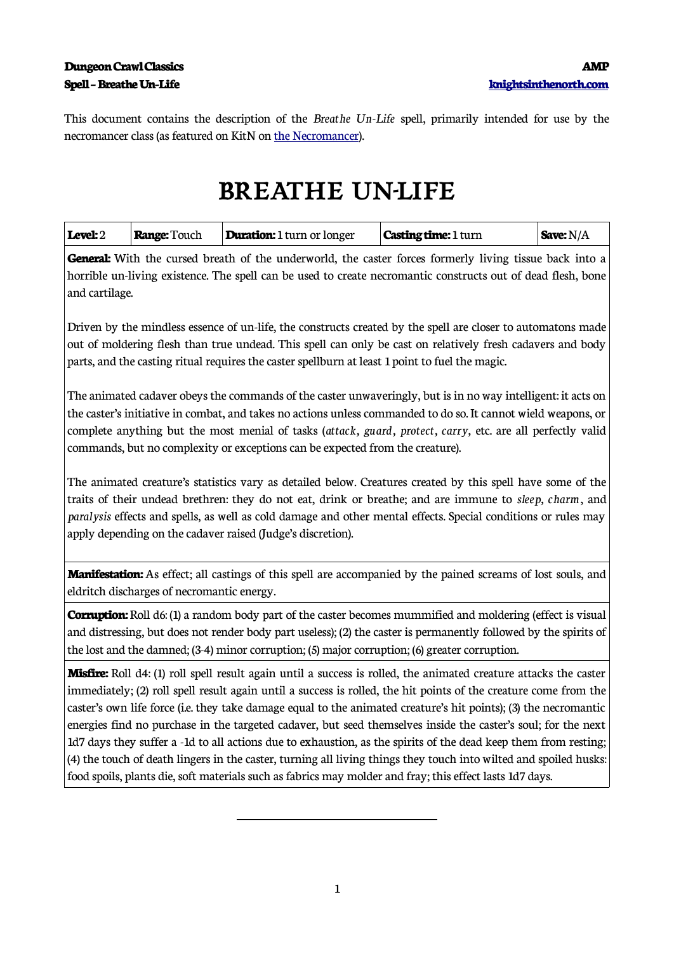This document contains the description of the *Breathe Un-Life* spell, primarily intended for use by the necromancer class (as featured on KitN on [the Necromancer](http://www.knightsinthenorth.com/the-necromancer/)).

## **BREATHE UN-LIFE**

| <b>Level:</b> 2 | <b>Range: Touch</b> | <b>Duration:</b> 1 turn or longer | <b>Casting time: 1 turn</b> | $\mathsf{Save:}\mathcal{N}/\mathcal{A}$ |
|-----------------|---------------------|-----------------------------------|-----------------------------|-----------------------------------------|
|-----------------|---------------------|-----------------------------------|-----------------------------|-----------------------------------------|

**General:** With the cursed breath of the underworld, the caster forces formerly living tissue back into a horrible un-living existence. The spell can be used to create necromantic constructs out of dead flesh, bone and cartilage.

Driven by the mindless essence of un-life, the constructs created by the spell are closer to automatons made out of moldering flesh than true undead. This spell can only be cast on relatively fresh cadavers and body parts, and the casting ritual requires the caster spellburn at least 1 point to fuel the magic.

The animated cadaver obeys the commands of the caster unwaveringly, but is in no way intelligent: it acts on the caster's initiative in combat, and takes no actions unless commanded to do so. It cannot wield weapons, or complete anything but the most menial of tasks (*attack, guard, protect, carry,* etc. are all perfectly valid commands, but no complexity or exceptions can be expected from the creature).

The animated creature's statistics vary as detailed below. Creatures created by this spell have some of the traits of their undead brethren: they do not eat, drink or breathe; and are immune to *sleep, charm*, and *paralysis* effects and spells, as well as cold damage and other mental effects. Special conditions or rules may apply depending on the cadaver raised (Judge's discretion).

**Manifestation:** As effect; all castings of this spell are accompanied by the pained screams of lost souls, and eldritch discharges of necromantic energy.

**Corruption:** Roll d6: (1) a random body part of the caster becomes mummified and moldering (effect is visual and distressing, but does not render body part useless); (2) the caster is permanently followed by the spirits of the lost and the damned; (3-4) minor corruption; (5) major corruption; (6) greater corruption.

**Misfire:** Roll d4: (1) roll spell result again until a success is rolled, the animated creature attacks the caster immediately; (2) roll spell result again until a success is rolled, the hit points of the creature come from the caster's own life force (i.e. they take damage equal to the animated creature's hit points); (3) the necromantic energies find no purchase in the targeted cadaver, but seed themselves inside the caster's soul; for the next 1d7 days they suffer a -1d to all actions due to exhaustion, as the spirits of the dead keep them from resting; (4) the touch of death lingers in the caster, turning all living things they touch into wilted and spoiled husks: food spoils, plants die, soft materials such as fabrics may molder and fray; this effect lasts 1d7 days.